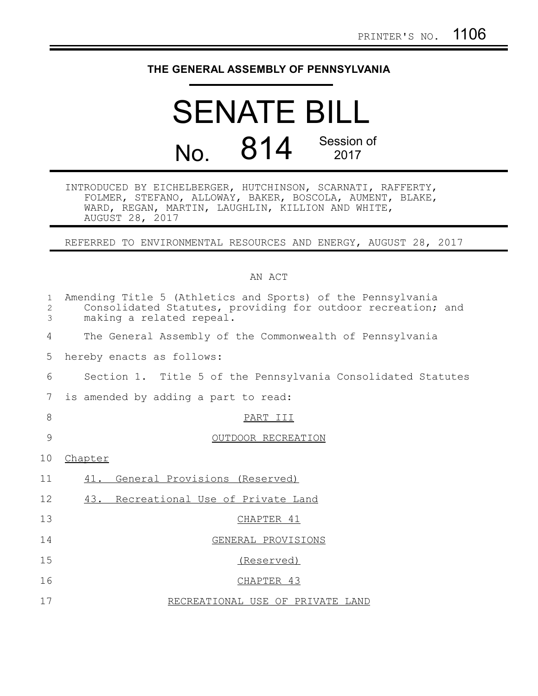## **THE GENERAL ASSEMBLY OF PENNSYLVANIA**

## SENATE BILL No. 814 Session of 2017

INTRODUCED BY EICHELBERGER, HUTCHINSON, SCARNATI, RAFFERTY, FOLMER, STEFANO, ALLOWAY, BAKER, BOSCOLA, AUMENT, BLAKE, WARD, REGAN, MARTIN, LAUGHLIN, KILLION AND WHITE, AUGUST 28, 2017

REFERRED TO ENVIRONMENTAL RESOURCES AND ENERGY, AUGUST 28, 2017

## AN ACT

| $\mathbf 1$<br>2<br>3 | Amending Title 5 (Athletics and Sports) of the Pennsylvania<br>Consolidated Statutes, providing for outdoor recreation; and<br>making a related repeal. |
|-----------------------|---------------------------------------------------------------------------------------------------------------------------------------------------------|
| 4                     | The General Assembly of the Commonwealth of Pennsylvania                                                                                                |
| 5                     | hereby enacts as follows:                                                                                                                               |
| 6                     | Section 1. Title 5 of the Pennsylvania Consolidated Statutes                                                                                            |
| 7                     | is amended by adding a part to read:                                                                                                                    |
| 8                     | PART III                                                                                                                                                |
| 9                     | OUTDOOR RECREATION                                                                                                                                      |
| 10                    | Chapter                                                                                                                                                 |
| 11                    | General Provisions (Reserved)<br>41.                                                                                                                    |
| 12                    | 43. Recreational Use of Private Land                                                                                                                    |
| 13                    | CHAPTER 41                                                                                                                                              |
| 14                    | GENERAL PROVISIONS                                                                                                                                      |
| 15                    | (Reserved)                                                                                                                                              |
| 16                    | CHAPTER 43                                                                                                                                              |
| 17                    | RECREATIONAL USE OF PRIVATE LAND                                                                                                                        |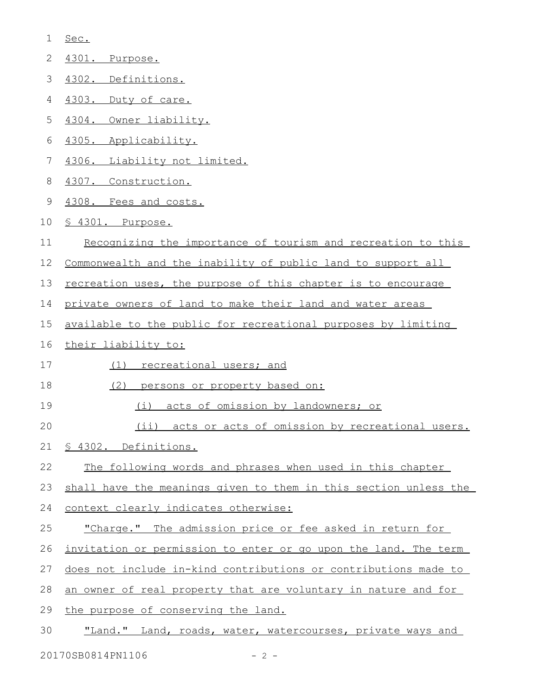| 1  | Sec.                                                                |
|----|---------------------------------------------------------------------|
| 2  | 4301. Purpose.                                                      |
| 3  | 4302. Definitions.                                                  |
| 4  | 4303. Duty of care.                                                 |
| 5  | 4304. Owner liability.                                              |
| 6  | 4305. Applicability.                                                |
| 7  | 4306. Liability not limited.                                        |
| 8  | 4307. Construction.                                                 |
| 9  | 4308. Fees and costs.                                               |
| 10 | § 4301. Purpose.                                                    |
| 11 | Recognizing the importance of tourism and recreation to this        |
| 12 | Commonwealth and the inability of public land to support all        |
| 13 | <u>recreation uses, the purpose of this chapter is to encourage</u> |
| 14 | private owners of land to make their land and water areas           |
| 15 | available to the public for recreational purposes by limiting       |
| 16 | their liability to:                                                 |
| 17 | (1)<br>recreational users; and                                      |
| 18 | (2)<br>persons or property based on:                                |
| 19 | acts of omission by landowners; or<br>(i)                           |
| 20 | (ii) acts or acts of omission by recreational users.                |
| 21 | § 4302. Definitions.                                                |
| 22 | The following words and phrases when used in this chapter           |
| 23 | shall have the meanings given to them in this section unless the    |
| 24 | context clearly indicates otherwise:                                |
| 25 | "Charge." The admission price or fee asked in return for            |
| 26 | invitation or permission to enter or go upon the land. The term     |
| 27 | does not include in-kind contributions or contributions made to     |
| 28 | an owner of real property that are voluntary in nature and for      |
| 29 | the purpose of conserving the land.                                 |
| 30 | "Land." Land, roads, water, watercourses, private ways and          |

20170SB0814PN1106 - 2 -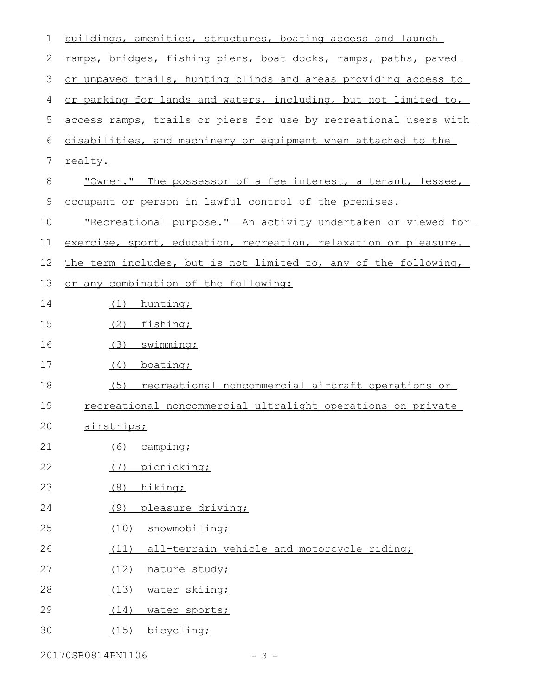| 1  | buildings, amenities, structures, boating access and launch        |
|----|--------------------------------------------------------------------|
| 2  | ramps, bridges, fishing piers, boat docks, ramps, paths, paved     |
| 3  | or unpaved trails, hunting blinds and areas providing access to    |
| 4  | or parking for lands and waters, including, but not limited to,    |
| 5  | access ramps, trails or piers for use by recreational users with   |
| 6  | disabilities, and machinery or equipment when attached to the      |
| 7  | realty.                                                            |
| 8  | <u>"Owner." The possessor of a fee interest, a tenant, lessee,</u> |
| 9  | occupant or person in lawful control of the premises.              |
| 10 | "Recreational purpose." An activity undertaken or viewed for       |
| 11 | exercise, sport, education, recreation, relaxation or pleasure.    |
| 12 | The term includes, but is not limited to, any of the following,    |
| 13 | or any combination of the following:                               |
| 14 | hunting;<br>(1)                                                    |
| 15 | (2)<br>fishing;                                                    |
| 16 | swimming;<br>(3)                                                   |
| 17 | (4)<br>boating;                                                    |
| 18 | recreational noncommercial aircraft operations or<br>(5)           |
| 19 | <u>recreational noncommercial ultralight operations on private</u> |
| 20 | airstrips;                                                         |
| 21 | (6)<br>camping;                                                    |
| 22 | picnicking;<br>(7)                                                 |
| 23 | (8)<br>hiking;                                                     |
| 24 | (9)<br>pleasure driving;                                           |
| 25 | (10)<br>snowmobiling;                                              |
| 26 | all-terrain vehicle and motorcycle riding;<br>(11)                 |
| 27 | (12)<br>nature study;                                              |
| 28 | (13)<br><u>water skiing;</u>                                       |
| 29 | (14)<br>water sports;                                              |
| 30 | (15)<br>bicycling;                                                 |

20170SB0814PN1106 - 3 -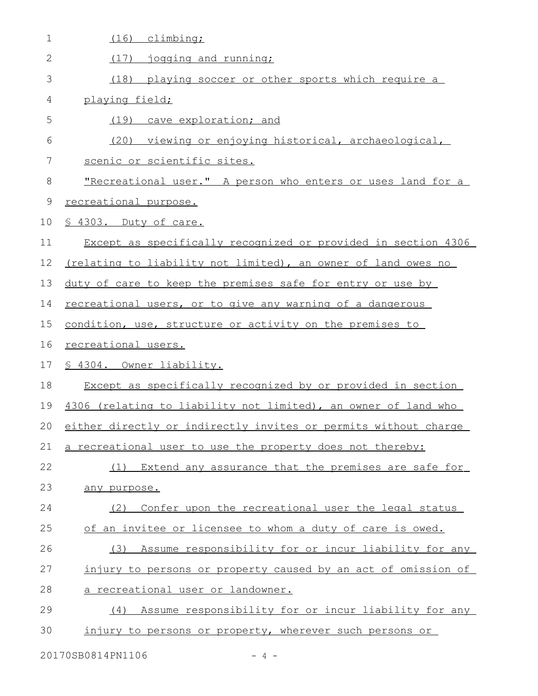| 1  | $(16)$ climbing;                                                   |
|----|--------------------------------------------------------------------|
| 2  | $(17)$ jogging and running;                                        |
| 3  | (18) playing soccer or other sports which require a                |
| 4  | playing field;                                                     |
| 5  | (19) cave exploration; and                                         |
| 6  | (20) viewing or enjoying historical, archaeological,               |
| 7  | scenic or scientific sites.                                        |
| 8  | "Recreational user." A person who enters or uses land for a        |
| 9  | recreational purpose.                                              |
| 10 | § 4303. Duty of care.                                              |
| 11 | Except as specifically recognized or provided in section 4306      |
| 12 | (relating to liability not limited), an owner of land owes no      |
| 13 | duty of care to keep the premises safe for entry or use by         |
| 14 | recreational users, or to give any warning of a dangerous          |
| 15 | condition, use, structure or activity on the premises to           |
| 16 | recreational users.                                                |
| 17 | § 4304. Owner liability.                                           |
| 18 | Except as specifically recognized by or provided in section        |
| 19 | 4306 (relating to liability not limited), an owner of land who     |
|    | 20 either directly or indirectly invites or permits without charge |
| 21 | a recreational user to use the property does not thereby:          |
| 22 | (1) Extend any assurance that the premises are safe for            |
| 23 | any purpose.                                                       |
| 24 | Confer upon the recreational user the legal status<br>(2)          |
| 25 | of an invitee or licensee to whom a duty of care is owed.          |
| 26 | (3) Assume responsibility for or incur liability for any           |
| 27 | injury to persons or property caused by an act of omission of      |
| 28 | <u>a recreational user or landowner.</u>                           |
| 29 | Assume responsibility for or incur liability for any<br>(4)        |
| 30 | injury to persons or property, wherever such persons or            |
|    |                                                                    |

20170SB0814PN1106 - 4 -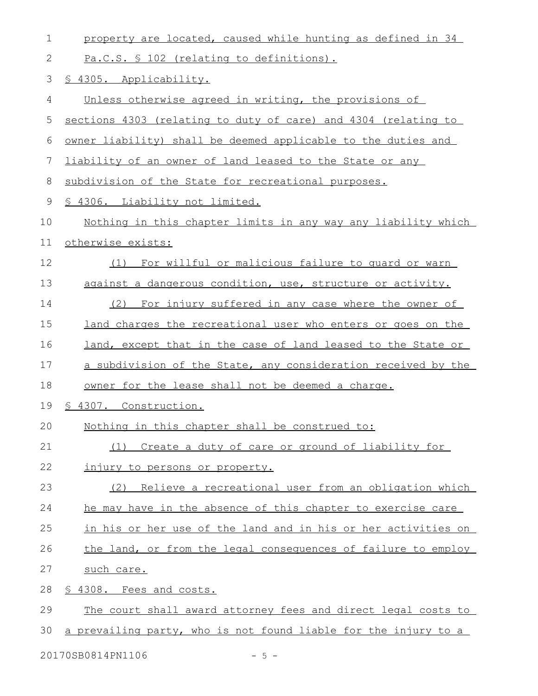| $\mathbf 1$ | property are located, caused while hunting as defined in 34     |
|-------------|-----------------------------------------------------------------|
| 2           | Pa.C.S. § 102 (relating to definitions).                        |
| 3           | § 4305. Applicability.                                          |
| 4           | Unless otherwise agreed in writing, the provisions of           |
| 5           | sections 4303 (relating to duty of care) and 4304 (relating to  |
| 6           | owner liability) shall be deemed applicable to the duties and   |
| 7           | liability of an owner of land leased to the State or any        |
| 8           | subdivision of the State for recreational purposes.             |
| $\mathsf 9$ | § 4306. Liability not limited.                                  |
| 10          | Nothing in this chapter limits in any way any liability which   |
| 11          | otherwise exists:                                               |
| 12          | For willful or malicious failure to guard or warn<br>(1)        |
| 13          | against a dangerous condition, use, structure or activity.      |
| 14          | (2) For injury suffered in any case where the owner of          |
| 15          | land charges the recreational user who enters or goes on the    |
| 16          | land, except that in the case of land leased to the State or    |
| 17          | a subdivision of the State, any consideration received by the   |
| 18          | owner for the lease shall not be deemed a charge.               |
| 19          | § 4307. Construction.                                           |
| 20          | Nothing in this chapter shall be construed to:                  |
| 21          | (1) Create a duty of care or ground of liability for            |
| 22          | injury to persons or property.                                  |
| 23          | Relieve a recreational user from an obligation which<br>(2)     |
| 24          | he may have in the absence of this chapter to exercise care     |
| 25          | in his or her use of the land and in his or her activities on   |
| 26          | the land, or from the legal consequences of failure to employ   |
| 27          | such care.                                                      |
| 28          | § 4308. Fees and costs.                                         |
| 29          | The court shall award attorney fees and direct legal costs to   |
| 30          | a prevailing party, who is not found liable for the injury to a |
|             |                                                                 |

20170SB0814PN1106 - 5 -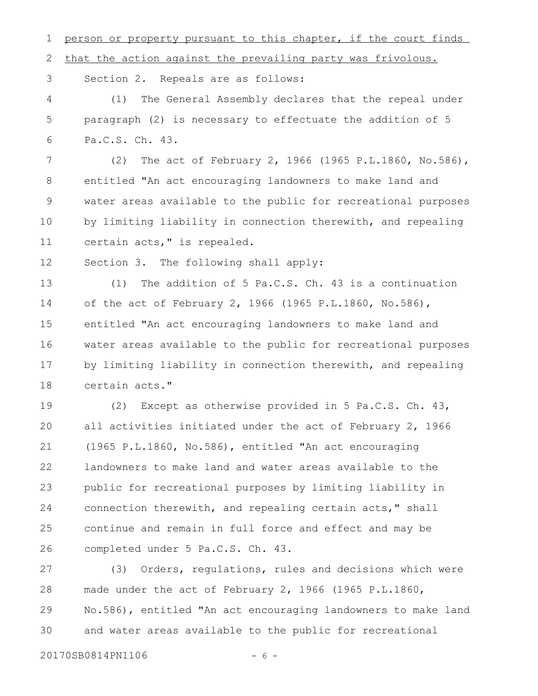person or property pursuant to this chapter, if the court finds that the action against the prevailing party was frivolous. Section 2. Repeals are as follows: (1) The General Assembly declares that the repeal under paragraph (2) is necessary to effectuate the addition of 5 Pa.C.S. Ch. 43. (2) The act of February 2, 1966 (1965 P.L.1860, No.586), entitled "An act encouraging landowners to make land and water areas available to the public for recreational purposes by limiting liability in connection therewith, and repealing certain acts," is repealed. Section 3. The following shall apply: (1) The addition of 5 Pa.C.S. Ch. 43 is a continuation of the act of February 2, 1966 (1965 P.L.1860, No.586), entitled "An act encouraging landowners to make land and water areas available to the public for recreational purposes by limiting liability in connection therewith, and repealing certain acts." (2) Except as otherwise provided in 5 Pa.C.S. Ch. 43, all activities initiated under the act of February 2, 1966 (1965 P.L.1860, No.586), entitled "An act encouraging landowners to make land and water areas available to the public for recreational purposes by limiting liability in connection therewith, and repealing certain acts," shall continue and remain in full force and effect and may be completed under 5 Pa.C.S. Ch. 43. (3) Orders, regulations, rules and decisions which were made under the act of February 2, 1966 (1965 P.L.1860, No.586), entitled "An act encouraging landowners to make land and water areas available to the public for recreational 20170SB0814PN1106 - 6 -1 2 3 4 5 6 7 8 9 10 11 12 13 14 15 16 17 18 19 20 21 22 23 24 25 26 27 28 29 30